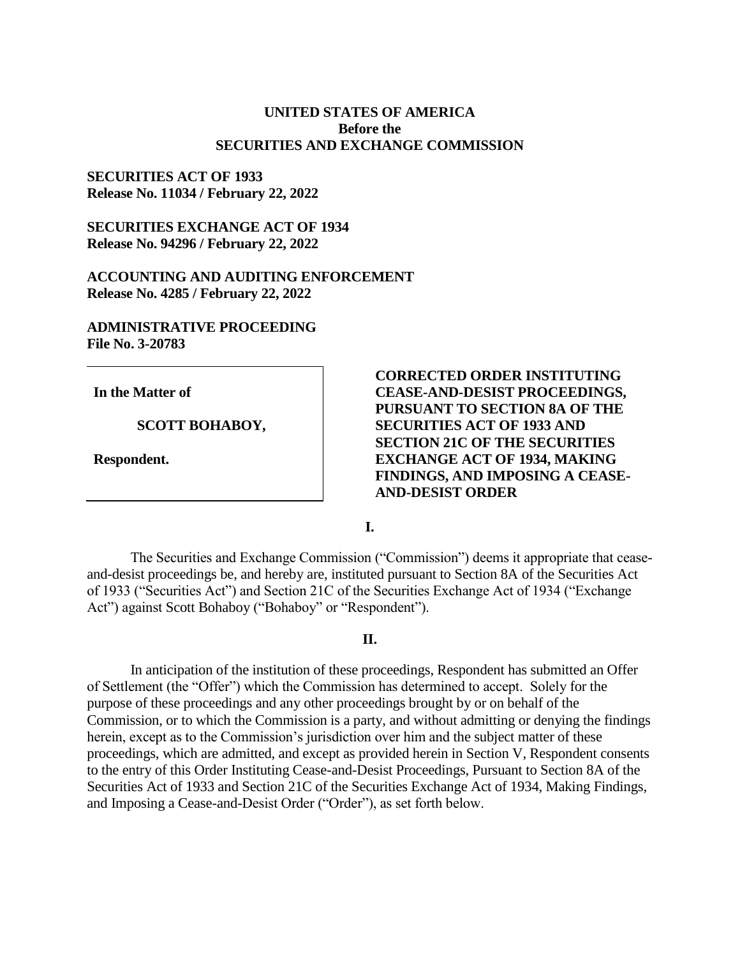## **UNITED STATES OF AMERICA Before the SECURITIES AND EXCHANGE COMMISSION**

## **SECURITIES ACT OF 1933 Release No. 11034 / February 22, 2022**

# **SECURITIES EXCHANGE ACT OF 1934 Release No. 94296 / February 22, 2022**

## **ACCOUNTING AND AUDITING ENFORCEMENT Release No. 4285 / February 22, 2022**

# **ADMINISTRATIVE PROCEEDING File No. 3-20783**

**In the Matter of**

### **SCOTT BOHABOY,**

**Respondent.**

# **CORRECTED ORDER INSTITUTING CEASE-AND-DESIST PROCEEDINGS, PURSUANT TO SECTION 8A OF THE SECURITIES ACT OF 1933 AND SECTION 21C OF THE SECURITIES EXCHANGE ACT OF 1934, MAKING FINDINGS, AND IMPOSING A CEASE-AND-DESIST ORDER**

**I.**

The Securities and Exchange Commission ("Commission") deems it appropriate that ceaseand-desist proceedings be, and hereby are, instituted pursuant to Section 8A of the Securities Act of 1933 ("Securities Act") and Section 21C of the Securities Exchange Act of 1934 ("Exchange Act") against Scott Bohaboy ("Bohaboy" or "Respondent").

### **II.**

In anticipation of the institution of these proceedings, Respondent has submitted an Offer of Settlement (the "Offer") which the Commission has determined to accept. Solely for the purpose of these proceedings and any other proceedings brought by or on behalf of the Commission, or to which the Commission is a party, and without admitting or denying the findings herein, except as to the Commission's jurisdiction over him and the subject matter of these proceedings, which are admitted, and except as provided herein in Section V, Respondent consents to the entry of this Order Instituting Cease-and-Desist Proceedings, Pursuant to Section 8A of the Securities Act of 1933 and Section 21C of the Securities Exchange Act of 1934, Making Findings, and Imposing a Cease-and-Desist Order ("Order"), as set forth below.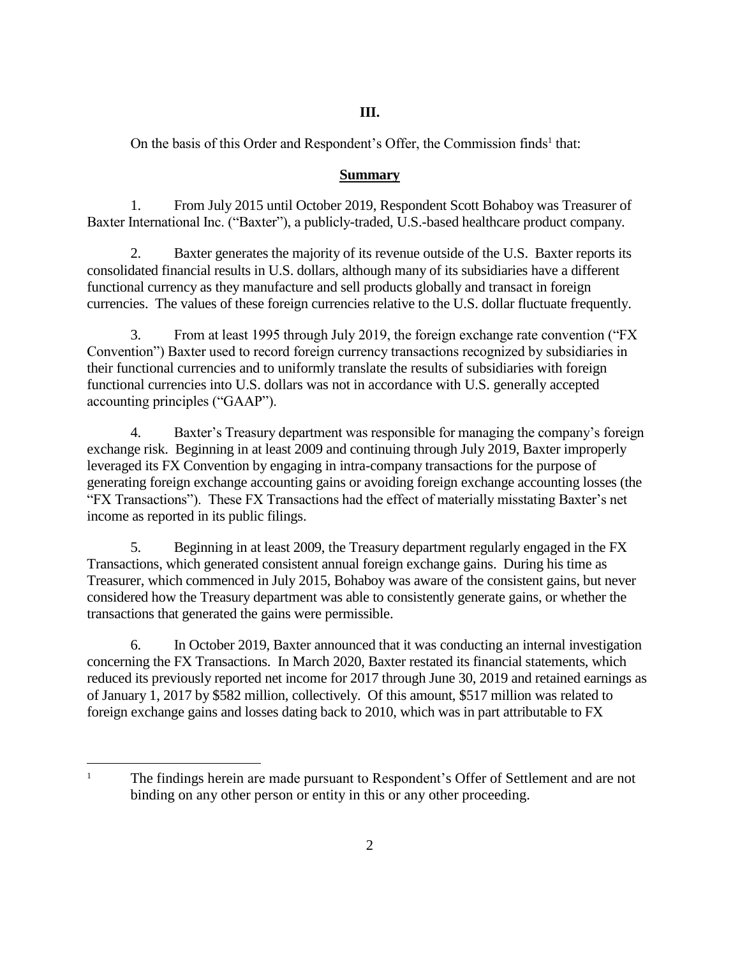# **III.**

On the basis of this Order and Respondent's Offer, the Commission finds<sup>1</sup> that:

## **Summary**

1. From July 2015 until October 2019, Respondent Scott Bohaboy was Treasurer of Baxter International Inc. ("Baxter"), a publicly-traded, U.S.-based healthcare product company.

2. Baxter generates the majority of its revenue outside of the U.S. Baxter reports its consolidated financial results in U.S. dollars, although many of its subsidiaries have a different functional currency as they manufacture and sell products globally and transact in foreign currencies. The values of these foreign currencies relative to the U.S. dollar fluctuate frequently.

3. From at least 1995 through July 2019, the foreign exchange rate convention ("FX Convention") Baxter used to record foreign currency transactions recognized by subsidiaries in their functional currencies and to uniformly translate the results of subsidiaries with foreign functional currencies into U.S. dollars was not in accordance with U.S. generally accepted accounting principles ("GAAP").

4. Baxter's Treasury department was responsible for managing the company's foreign exchange risk. Beginning in at least 2009 and continuing through July 2019, Baxter improperly leveraged its FX Convention by engaging in intra-company transactions for the purpose of generating foreign exchange accounting gains or avoiding foreign exchange accounting losses (the "FX Transactions"). These FX Transactions had the effect of materially misstating Baxter's net income as reported in its public filings.

5. Beginning in at least 2009, the Treasury department regularly engaged in the FX Transactions, which generated consistent annual foreign exchange gains. During his time as Treasurer, which commenced in July 2015, Bohaboy was aware of the consistent gains, but never considered how the Treasury department was able to consistently generate gains, or whether the transactions that generated the gains were permissible.

6. In October 2019, Baxter announced that it was conducting an internal investigation concerning the FX Transactions. In March 2020, Baxter restated its financial statements, which reduced its previously reported net income for 2017 through June 30, 2019 and retained earnings as of January 1, 2017 by \$582 million, collectively. Of this amount, \$517 million was related to foreign exchange gains and losses dating back to 2010, which was in part attributable to FX

 $\overline{a}$ 

<sup>&</sup>lt;sup>1</sup> The findings herein are made pursuant to Respondent's Offer of Settlement and are not binding on any other person or entity in this or any other proceeding.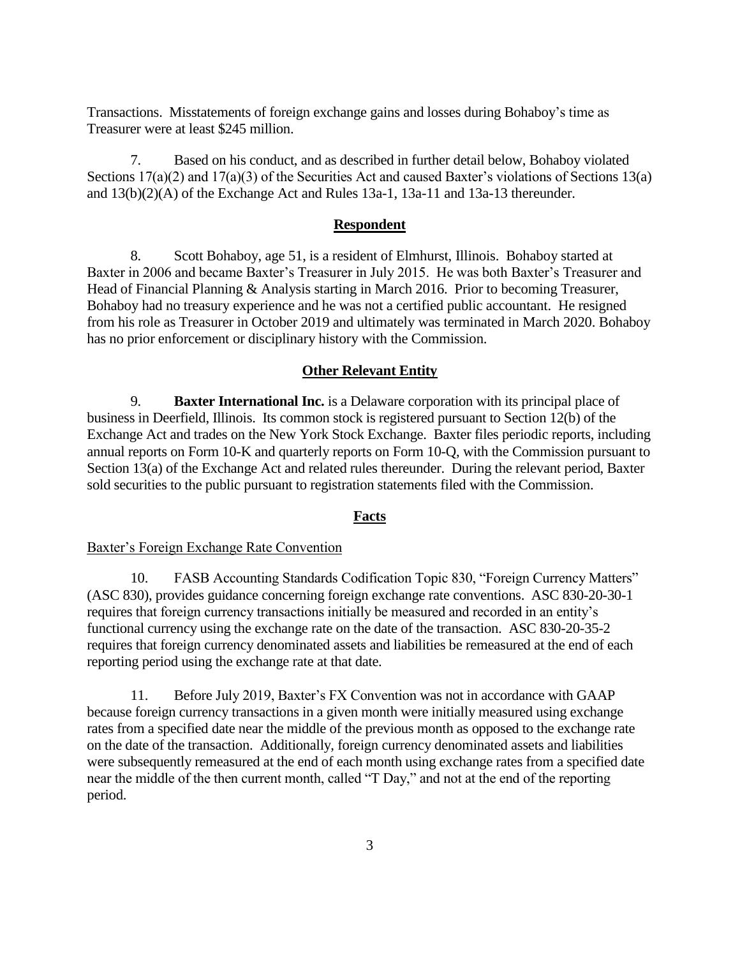Transactions. Misstatements of foreign exchange gains and losses during Bohaboy's time as Treasurer were at least \$245 million.

7. Based on his conduct, and as described in further detail below, Bohaboy violated Sections 17(a)(2) and 17(a)(3) of the Securities Act and caused Baxter's violations of Sections 13(a) and 13(b)(2)(A) of the Exchange Act and Rules 13a-1, 13a-11 and 13a-13 thereunder.

### **Respondent**

8. Scott Bohaboy, age 51, is a resident of Elmhurst, Illinois. Bohaboy started at Baxter in 2006 and became Baxter's Treasurer in July 2015. He was both Baxter's Treasurer and Head of Financial Planning & Analysis starting in March 2016. Prior to becoming Treasurer, Bohaboy had no treasury experience and he was not a certified public accountant. He resigned from his role as Treasurer in October 2019 and ultimately was terminated in March 2020. Bohaboy has no prior enforcement or disciplinary history with the Commission.

#### **Other Relevant Entity**

9. **Baxter International Inc.** is a Delaware corporation with its principal place of business in Deerfield, Illinois. Its common stock is registered pursuant to Section 12(b) of the Exchange Act and trades on the New York Stock Exchange. Baxter files periodic reports, including annual reports on Form 10-K and quarterly reports on Form 10-Q, with the Commission pursuant to Section 13(a) of the Exchange Act and related rules thereunder. During the relevant period, Baxter sold securities to the public pursuant to registration statements filed with the Commission.

### **Facts**

#### Baxter's Foreign Exchange Rate Convention

10. FASB Accounting Standards Codification Topic 830, "Foreign Currency Matters" (ASC 830), provides guidance concerning foreign exchange rate conventions. ASC 830-20-30-1 requires that foreign currency transactions initially be measured and recorded in an entity's functional currency using the exchange rate on the date of the transaction. ASC 830-20-35-2 requires that foreign currency denominated assets and liabilities be remeasured at the end of each reporting period using the exchange rate at that date.

11. Before July 2019, Baxter's FX Convention was not in accordance with GAAP because foreign currency transactions in a given month were initially measured using exchange rates from a specified date near the middle of the previous month as opposed to the exchange rate on the date of the transaction. Additionally, foreign currency denominated assets and liabilities were subsequently remeasured at the end of each month using exchange rates from a specified date near the middle of the then current month, called "T Day," and not at the end of the reporting period.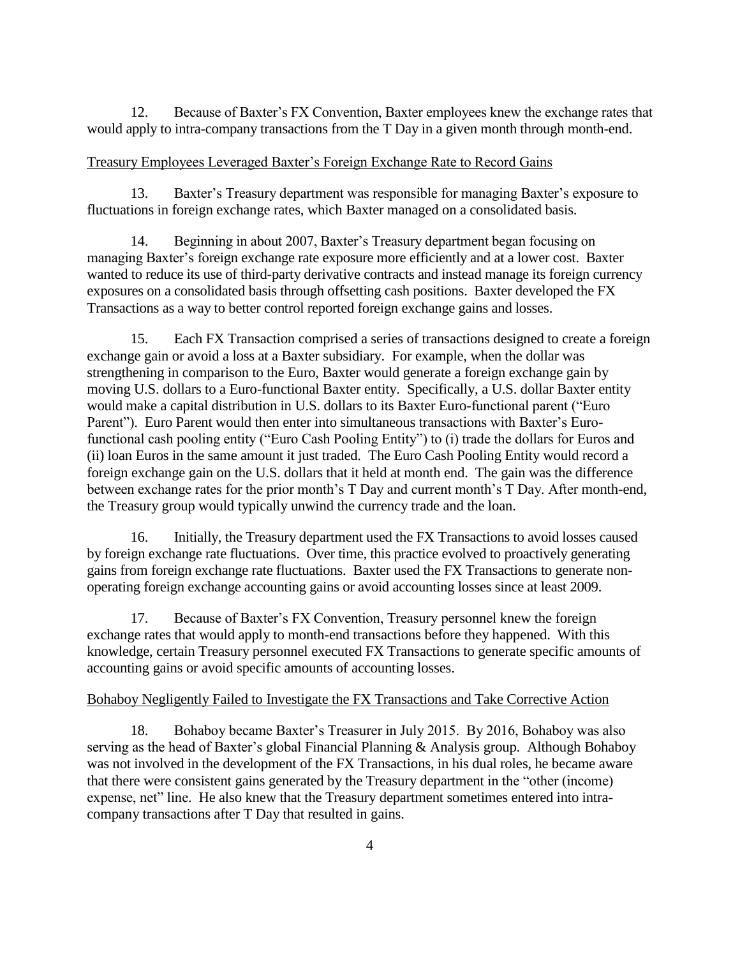12. Because of Baxter's FX Convention, Baxter employees knew the exchange rates that would apply to intra-company transactions from the T Day in a given month through month-end.

## Treasury Employees Leveraged Baxter's Foreign Exchange Rate to Record Gains

13. Baxter's Treasury department was responsible for managing Baxter's exposure to fluctuations in foreign exchange rates, which Baxter managed on a consolidated basis.

14. Beginning in about 2007, Baxter's Treasury department began focusing on managing Baxter's foreign exchange rate exposure more efficiently and at a lower cost. Baxter wanted to reduce its use of third-party derivative contracts and instead manage its foreign currency exposures on a consolidated basis through offsetting cash positions. Baxter developed the FX Transactions as a way to better control reported foreign exchange gains and losses.

15. Each FX Transaction comprised a series of transactions designed to create a foreign exchange gain or avoid a loss at a Baxter subsidiary. For example, when the dollar was strengthening in comparison to the Euro, Baxter would generate a foreign exchange gain by moving U.S. dollars to a Euro-functional Baxter entity. Specifically, a U.S. dollar Baxter entity would make a capital distribution in U.S. dollars to its Baxter Euro-functional parent ("Euro Parent"). Euro Parent would then enter into simultaneous transactions with Baxter's Eurofunctional cash pooling entity ("Euro Cash Pooling Entity") to (i) trade the dollars for Euros and (ii) loan Euros in the same amount it just traded. The Euro Cash Pooling Entity would record a foreign exchange gain on the U.S. dollars that it held at month end. The gain was the difference between exchange rates for the prior month's T Day and current month's T Day. After month-end, the Treasury group would typically unwind the currency trade and the loan.

16. Initially, the Treasury department used the FX Transactions to avoid losses caused by foreign exchange rate fluctuations. Over time, this practice evolved to proactively generating gains from foreign exchange rate fluctuations. Baxter used the FX Transactions to generate nonoperating foreign exchange accounting gains or avoid accounting losses since at least 2009.

17. Because of Baxter's FX Convention, Treasury personnel knew the foreign exchange rates that would apply to month-end transactions before they happened. With this knowledge, certain Treasury personnel executed FX Transactions to generate specific amounts of accounting gains or avoid specific amounts of accounting losses.

### Bohaboy Negligently Failed to Investigate the FX Transactions and Take Corrective Action

18. Bohaboy became Baxter's Treasurer in July 2015. By 2016, Bohaboy was also serving as the head of Baxter's global Financial Planning & Analysis group. Although Bohaboy was not involved in the development of the FX Transactions, in his dual roles, he became aware that there were consistent gains generated by the Treasury department in the "other (income) expense, net" line. He also knew that the Treasury department sometimes entered into intracompany transactions after T Day that resulted in gains.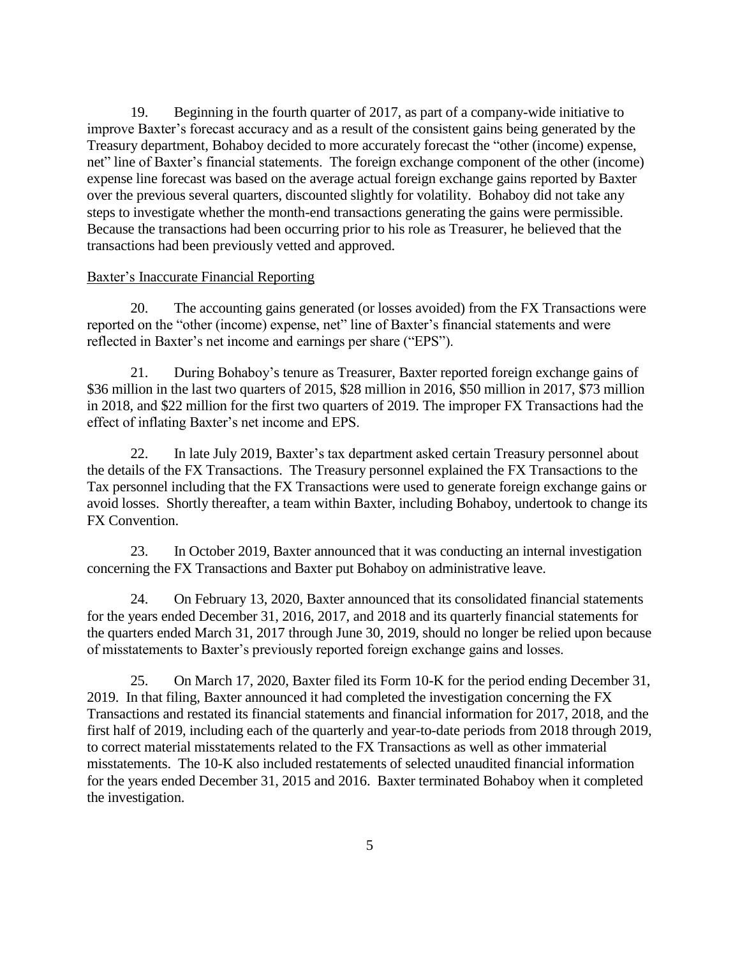19. Beginning in the fourth quarter of 2017, as part of a company-wide initiative to improve Baxter's forecast accuracy and as a result of the consistent gains being generated by the Treasury department, Bohaboy decided to more accurately forecast the "other (income) expense, net" line of Baxter's financial statements. The foreign exchange component of the other (income) expense line forecast was based on the average actual foreign exchange gains reported by Baxter over the previous several quarters, discounted slightly for volatility. Bohaboy did not take any steps to investigate whether the month-end transactions generating the gains were permissible. Because the transactions had been occurring prior to his role as Treasurer, he believed that the transactions had been previously vetted and approved.

### Baxter's Inaccurate Financial Reporting

20. The accounting gains generated (or losses avoided) from the FX Transactions were reported on the "other (income) expense, net" line of Baxter's financial statements and were reflected in Baxter's net income and earnings per share ("EPS").

21. During Bohaboy's tenure as Treasurer, Baxter reported foreign exchange gains of \$36 million in the last two quarters of 2015, \$28 million in 2016, \$50 million in 2017, \$73 million in 2018, and \$22 million for the first two quarters of 2019. The improper FX Transactions had the effect of inflating Baxter's net income and EPS.

22. In late July 2019, Baxter's tax department asked certain Treasury personnel about the details of the FX Transactions. The Treasury personnel explained the FX Transactions to the Tax personnel including that the FX Transactions were used to generate foreign exchange gains or avoid losses. Shortly thereafter, a team within Baxter, including Bohaboy, undertook to change its FX Convention.

23. In October 2019, Baxter announced that it was conducting an internal investigation concerning the FX Transactions and Baxter put Bohaboy on administrative leave.

24. On February 13, 2020, Baxter announced that its consolidated financial statements for the years ended December 31, 2016, 2017, and 2018 and its quarterly financial statements for the quarters ended March 31, 2017 through June 30, 2019, should no longer be relied upon because of misstatements to Baxter's previously reported foreign exchange gains and losses.

25. On March 17, 2020, Baxter filed its Form 10-K for the period ending December 31, 2019. In that filing, Baxter announced it had completed the investigation concerning the FX Transactions and restated its financial statements and financial information for 2017, 2018, and the first half of 2019, including each of the quarterly and year-to-date periods from 2018 through 2019, to correct material misstatements related to the FX Transactions as well as other immaterial misstatements. The 10-K also included restatements of selected unaudited financial information for the years ended December 31, 2015 and 2016. Baxter terminated Bohaboy when it completed the investigation.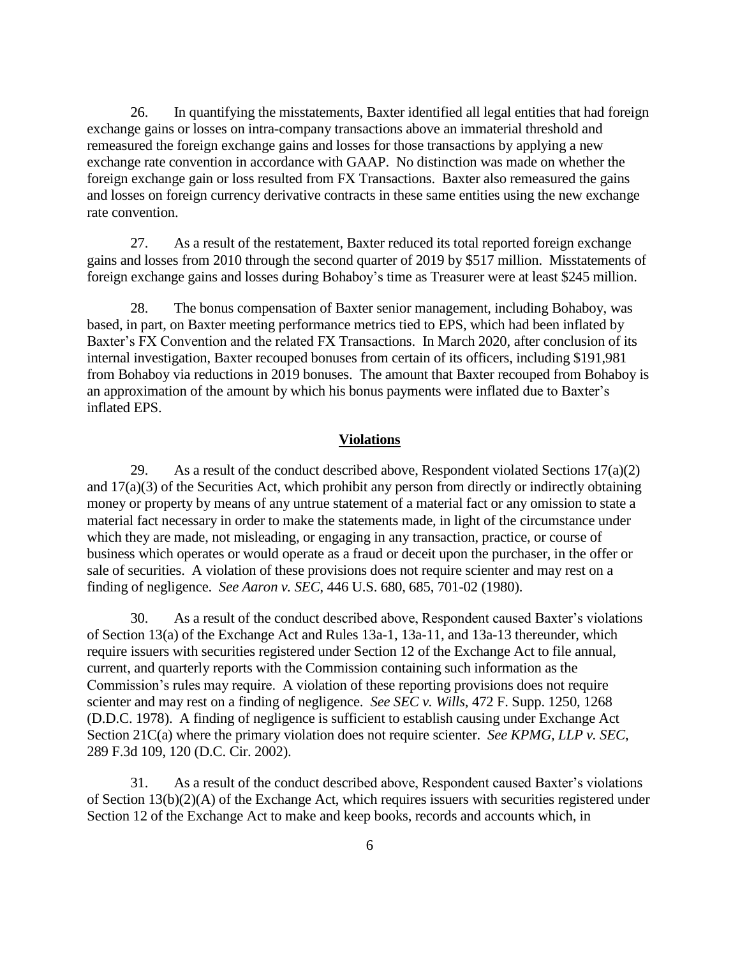26. In quantifying the misstatements, Baxter identified all legal entities that had foreign exchange gains or losses on intra-company transactions above an immaterial threshold and remeasured the foreign exchange gains and losses for those transactions by applying a new exchange rate convention in accordance with GAAP. No distinction was made on whether the foreign exchange gain or loss resulted from FX Transactions. Baxter also remeasured the gains and losses on foreign currency derivative contracts in these same entities using the new exchange rate convention.

27. As a result of the restatement, Baxter reduced its total reported foreign exchange gains and losses from 2010 through the second quarter of 2019 by \$517 million. Misstatements of foreign exchange gains and losses during Bohaboy's time as Treasurer were at least \$245 million.

28. The bonus compensation of Baxter senior management, including Bohaboy, was based, in part, on Baxter meeting performance metrics tied to EPS, which had been inflated by Baxter's FX Convention and the related FX Transactions. In March 2020, after conclusion of its internal investigation, Baxter recouped bonuses from certain of its officers, including \$191,981 from Bohaboy via reductions in 2019 bonuses. The amount that Baxter recouped from Bohaboy is an approximation of the amount by which his bonus payments were inflated due to Baxter's inflated EPS.

#### **Violations**

29. As a result of the conduct described above, Respondent violated Sections  $17(a)(2)$ and 17(a)(3) of the Securities Act, which prohibit any person from directly or indirectly obtaining money or property by means of any untrue statement of a material fact or any omission to state a material fact necessary in order to make the statements made, in light of the circumstance under which they are made, not misleading, or engaging in any transaction, practice, or course of business which operates or would operate as a fraud or deceit upon the purchaser, in the offer or sale of securities. A violation of these provisions does not require scienter and may rest on a finding of negligence. *See Aaron v. SEC*, 446 U.S. 680, 685, 701-02 (1980).

30. As a result of the conduct described above, Respondent caused Baxter's violations of Section 13(a) of the Exchange Act and Rules 13a-1, 13a-11, and 13a-13 thereunder, which require issuers with securities registered under Section 12 of the Exchange Act to file annual, current, and quarterly reports with the Commission containing such information as the Commission's rules may require. A violation of these reporting provisions does not require scienter and may rest on a finding of negligence. *See SEC v. Wills*, 472 F. Supp. 1250, 1268 (D.D.C. 1978). A finding of negligence is sufficient to establish causing under Exchange Act Section 21C(a) where the primary violation does not require scienter. *See KPMG, LLP v. SEC*, 289 F.3d 109, 120 (D.C. Cir. 2002).

31. As a result of the conduct described above, Respondent caused Baxter's violations of Section 13(b)(2)(A) of the Exchange Act, which requires issuers with securities registered under Section 12 of the Exchange Act to make and keep books, records and accounts which, in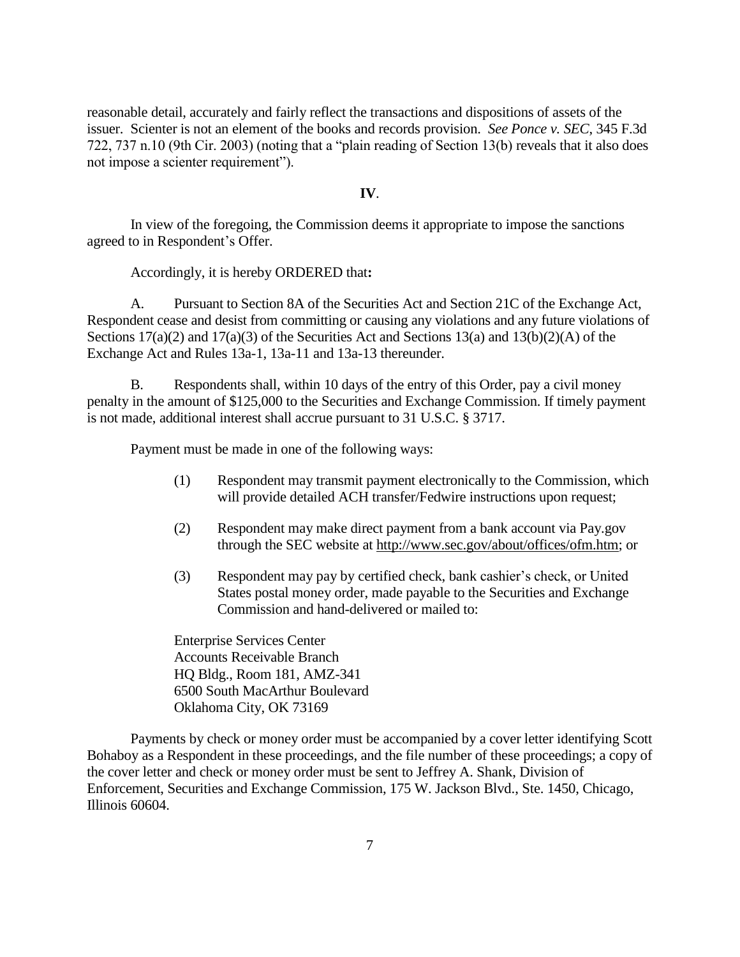reasonable detail, accurately and fairly reflect the transactions and dispositions of assets of the issuer. Scienter is not an element of the books and records provision. *See Ponce v. SEC*, 345 F.3d 722, 737 n.10 (9th Cir. 2003) (noting that a "plain reading of Section 13(b) reveals that it also does not impose a scienter requirement").

#### **IV**.

In view of the foregoing, the Commission deems it appropriate to impose the sanctions agreed to in Respondent's Offer.

Accordingly, it is hereby ORDERED that**:**

A. Pursuant to Section 8A of the Securities Act and Section 21C of the Exchange Act, Respondent cease and desist from committing or causing any violations and any future violations of Sections  $17(a)(2)$  and  $17(a)(3)$  of the Securities Act and Sections  $13(a)$  and  $13(b)(2)(A)$  of the Exchange Act and Rules 13a-1, 13a-11 and 13a-13 thereunder.

B. Respondents shall, within 10 days of the entry of this Order, pay a civil money penalty in the amount of \$125,000 to the Securities and Exchange Commission. If timely payment is not made, additional interest shall accrue pursuant to 31 U.S.C. § 3717.

Payment must be made in one of the following ways:

- (1) Respondent may transmit payment electronically to the Commission, which will provide detailed ACH transfer/Fedwire instructions upon request;
- (2) Respondent may make direct payment from a bank account via Pay.gov through the SEC website at [http://www.sec.gov/about/offices/ofm.htm;](http://www.sec.gov/about/offices/ofm.htm) or
- (3) Respondent may pay by certified check, bank cashier's check, or United States postal money order, made payable to the Securities and Exchange Commission and hand-delivered or mailed to:

Enterprise Services Center Accounts Receivable Branch HQ Bldg., Room 181, AMZ-341 6500 South MacArthur Boulevard Oklahoma City, OK 73169

Payments by check or money order must be accompanied by a cover letter identifying Scott Bohaboy as a Respondent in these proceedings, and the file number of these proceedings; a copy of the cover letter and check or money order must be sent to Jeffrey A. Shank, Division of Enforcement, Securities and Exchange Commission, 175 W. Jackson Blvd., Ste. 1450, Chicago, Illinois 60604.